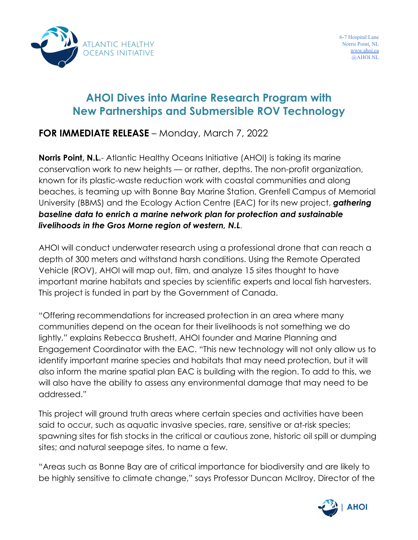

# **AHOI Dives into Marine Research Program with New Partnerships and Submersible ROV Technology**

## **FOR IMMEDIATE RELEASE** – Monday, March 7, 2022

**Norris Point, N.L.**- Atlantic Healthy Oceans Initiative (AHOI) is taking its marine conservation work to new heights — or rather, depths. The non-profit organization, known for its plastic-waste reduction work with coastal communities and along beaches, is teaming up with Bonne Bay Marine Station, Grenfell Campus of Memorial University (BBMS) and the Ecology Action Centre (EAC) for its new project, *gathering baseline data to enrich a marine network plan for protection and sustainable livelihoods in the Gros Morne region of western, N.L*.

AHOI will conduct underwater research using a professional drone that can reach a depth of 300 meters and withstand harsh conditions. Using the Remote Operated Vehicle (ROV), AHOI will map out, film, and analyze 15 sites thought to have important marine habitats and species by scientific experts and local fish harvesters. This project is funded in part by the Government of Canada.

"Offering recommendations for increased protection in an area where many communities depend on the ocean for their livelihoods is not something we do lightly," explains Rebecca Brushett, AHOI founder and Marine Planning and Engagement Coordinator with the EAC. "This new technology will not only allow us to identify important marine species and habitats that may need protection, but it will also inform the marine spatial plan EAC is building with the region. To add to this, we will also have the ability to assess any environmental damage that may need to be addressed."

This project will ground truth areas where certain species and activities have been said to occur, such as aquatic invasive species, rare, sensitive or at-risk species; spawning sites for fish stocks in the critical or cautious zone, historic oil spill or dumping sites; and natural seepage sites, to name a few.

"Areas such as Bonne Bay are of critical importance for biodiversity and are likely to be highly sensitive to climate change," says Professor Duncan McIlroy, Director of the

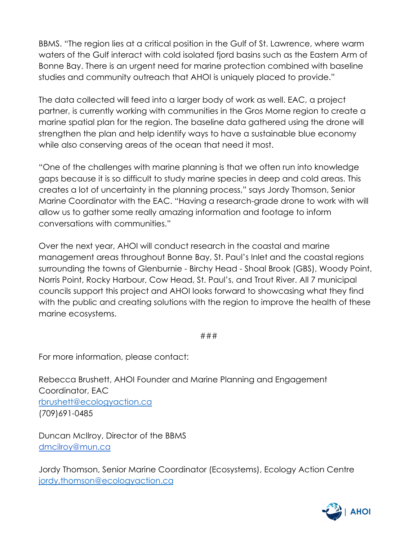BBMS. "The region lies at a critical position in the Gulf of St. Lawrence, where warm waters of the Gulf interact with cold isolated fjord basins such as the Eastern Arm of Bonne Bay. There is an urgent need for marine protection combined with baseline studies and community outreach that AHOI is uniquely placed to provide."

The data collected will feed into a larger body of work as well. EAC, a project partner, is currently working with communities in the Gros Morne region to create a marine spatial plan for the region. The baseline data gathered using the drone will strengthen the plan and help identify ways to have a sustainable blue economy while also conserving areas of the ocean that need it most.

"One of the challenges with marine planning is that we often run into knowledge gaps because it is so difficult to study marine species in deep and cold areas. This creates a lot of uncertainty in the planning process," says Jordy Thomson, Senior Marine Coordinator with the EAC. "Having a research-grade drone to work with will allow us to gather some really amazing information and footage to inform conversations with communities."

Over the next year, AHOI will conduct research in the coastal and marine management areas throughout Bonne Bay, St. Paul's Inlet and the coastal regions surrounding the towns of Glenburnie - Birchy Head - Shoal Brook (GBS), Woody Point, Norris Point, Rocky Harbour, Cow Head, St. Paul's, and Trout River. All 7 municipal councils support this project and AHOI looks forward to showcasing what they find with the public and creating solutions with the region to improve the health of these marine ecosystems.

###

For more information, please contact:

Rebecca Brushett, AHOI Founder and Marine Planning and Engagement Coordinator, EAC [rbrushett@ecologyaction.ca](mailto:rbrushett@ecologyaction.ca) (709)691-0485

Duncan McIlroy, Director of the BBMS [dmcilroy@mun.ca](mailto:dmcilroy@mun.ca)

Jordy Thomson, Senior Marine Coordinator (Ecosystems), Ecology Action Centre [jordy.thomson@ecologyaction.ca](mailto:jordy.thomson@ecologyaction.ca)